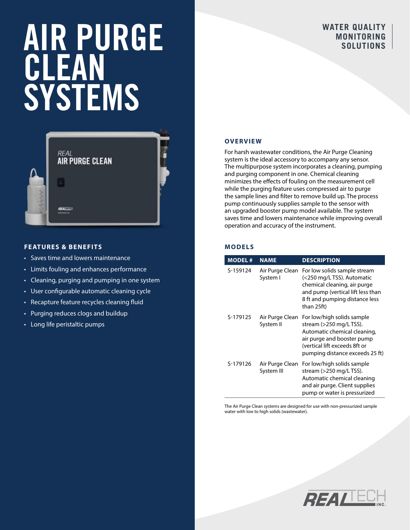# AIR PURGE CLEAN SYSTEMS

# **WATER QUALITY MONITORING SOLUTIONS**



### **FEATURES & BENEFITS**

- Saves time and lowers maintenance
- Limits fouling and enhances performance
- Cleaning, purging and pumping in one system
- User configurable automatic cleaning cycle
- Recapture feature recycles cleaning fluid
- Purging reduces clogs and buildup
- Long life peristaltic pumps

#### **OVERVIEW**

For harsh wastewater conditions, the Air Purge Cleaning system is the ideal accessory to accompany any sensor. The multipurpose system incorporates a cleaning, pumping and purging component in one. Chemical cleaning minimizes the effects of fouling on the measurement cell while the purging feature uses compressed air to purge the sample lines and filter to remove build up. The process pump continuously supplies sample to the sensor with an upgraded booster pump model available. The system saves time and lowers maintenance while improving overall operation and accuracy of the instrument.

# **MODELS**

| <b>MODEL#</b> | <b>NAME</b>                   | <b>DESCRIPTION</b>                                                                                                                                                                      |
|---------------|-------------------------------|-----------------------------------------------------------------------------------------------------------------------------------------------------------------------------------------|
| S-159124      | Air Purge Clean<br>System I   | For low solids sample stream<br>(<250 mg/L TSS). Automatic<br>chemical cleaning, air purge<br>and pump (vertical lift less than<br>8 ft and pumping distance less<br>than 25ft)         |
| S-179125      | Air Purge Clean<br>System II  | For low/high solids sample<br>stream (>250 mg/L TSS).<br>Automatic chemical cleaning,<br>air purge and booster pump<br>(vertical lift exceeds 8ft or<br>pumping distance exceeds 25 ft) |
| S-179126      | Air Purge Clean<br>System III | For low/high solids sample<br>stream (>250 mg/L TSS).<br>Automatic chemical cleaning<br>and air purge. Client supplies<br>pump or water is pressurized                                  |

The Air Purge Clean systems are designed for use with non-pressurized sample water with low to high solids (wastewater).